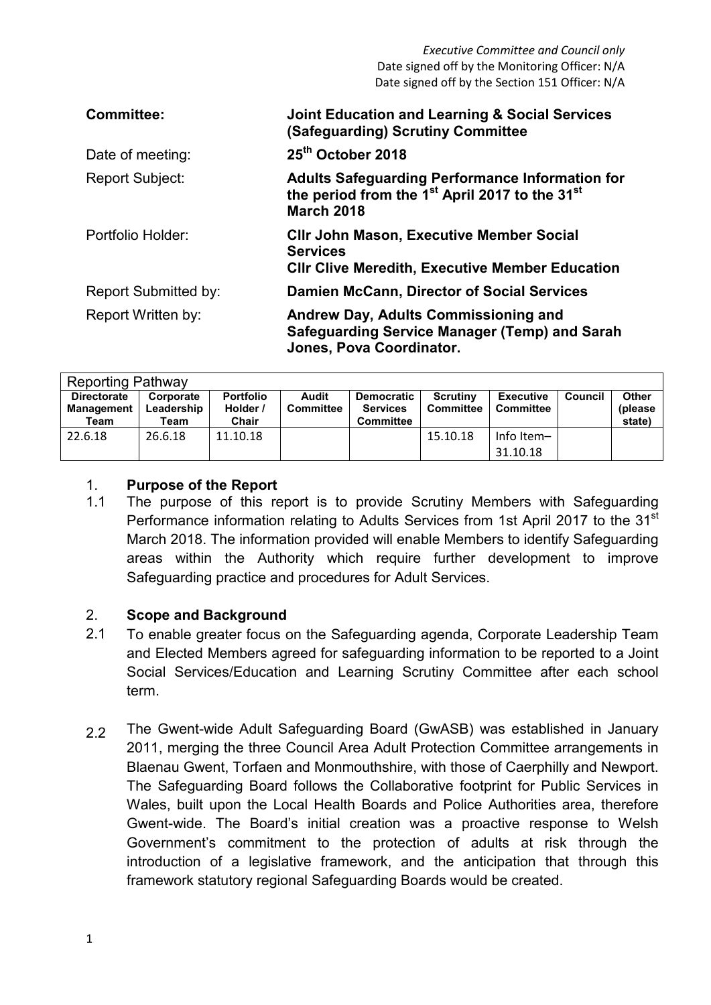*Executive Committee and Council only*  Date signed off by the Monitoring Officer: N/A Date signed off by the Section 151 Officer: N/A

| <b>Committee:</b>           | <b>Joint Education and Learning &amp; Social Services</b><br>(Safeguarding) Scrutiny Committee                                                        |
|-----------------------------|-------------------------------------------------------------------------------------------------------------------------------------------------------|
| Date of meeting:            | 25 <sup>th</sup> October 2018                                                                                                                         |
| Report Subject:             | <b>Adults Safeguarding Performance Information for</b><br>the period from the 1 <sup>st</sup> April 2017 to the 31 <sup>st</sup><br><b>March 2018</b> |
| Portfolio Holder:           | <b>CIIr John Mason, Executive Member Social</b><br><b>Services</b><br><b>CIIr Clive Meredith, Executive Member Education</b>                          |
| <b>Report Submitted by:</b> | <b>Damien McCann, Director of Social Services</b>                                                                                                     |
| Report Written by:          | Andrew Day, Adults Commissioning and<br>Safeguarding Service Manager (Temp) and Sarah<br>Jones, Pova Coordinator.                                     |

| <b>Reporting Pathway</b>                        |                                 |                                       |                           |                                                          |                                     |                                      |                |                                   |
|-------------------------------------------------|---------------------------------|---------------------------------------|---------------------------|----------------------------------------------------------|-------------------------------------|--------------------------------------|----------------|-----------------------------------|
| <b>Directorate</b><br><b>Management</b><br>Team | Corporate<br>Leadership<br>Team | <b>Portfolio</b><br>Holder /<br>Chair | Audit<br><b>Committee</b> | <b>Democratic</b><br><b>Services</b><br><b>Committee</b> | <b>Scrutiny</b><br><b>Committee</b> | <b>Executive</b><br><b>Committee</b> | <b>Council</b> | <b>Other</b><br>(please<br>state) |
| 22.6.18                                         | 26.6.18                         | 11.10.18                              |                           |                                                          | 15.10.18                            | Info Item-<br>31.10.18               |                |                                   |

#### 1. **Purpose of the Report**

1.1 The purpose of this report is to provide Scrutiny Members with Safeguarding Performance information relating to Adults Services from 1st April 2017 to the 31<sup>st</sup> March 2018. The information provided will enable Members to identify Safeguarding areas within the Authority which require further development to improve Safeguarding practice and procedures for Adult Services.

## 2. **Scope and Background**

- 2.1 To enable greater focus on the Safeguarding agenda, Corporate Leadership Team and Elected Members agreed for safeguarding information to be reported to a Joint Social Services/Education and Learning Scrutiny Committee after each school term.
- 2.2 The Gwent-wide Adult Safeguarding Board (GwASB) was established in January 2011, merging the three Council Area Adult Protection Committee arrangements in Blaenau Gwent, Torfaen and Monmouthshire, with those of Caerphilly and Newport. The Safeguarding Board follows the Collaborative footprint for Public Services in Wales, built upon the Local Health Boards and Police Authorities area, therefore Gwent-wide. The Board's initial creation was a proactive response to Welsh Government's commitment to the protection of adults at risk through the introduction of a legislative framework, and the anticipation that through this framework statutory regional Safeguarding Boards would be created.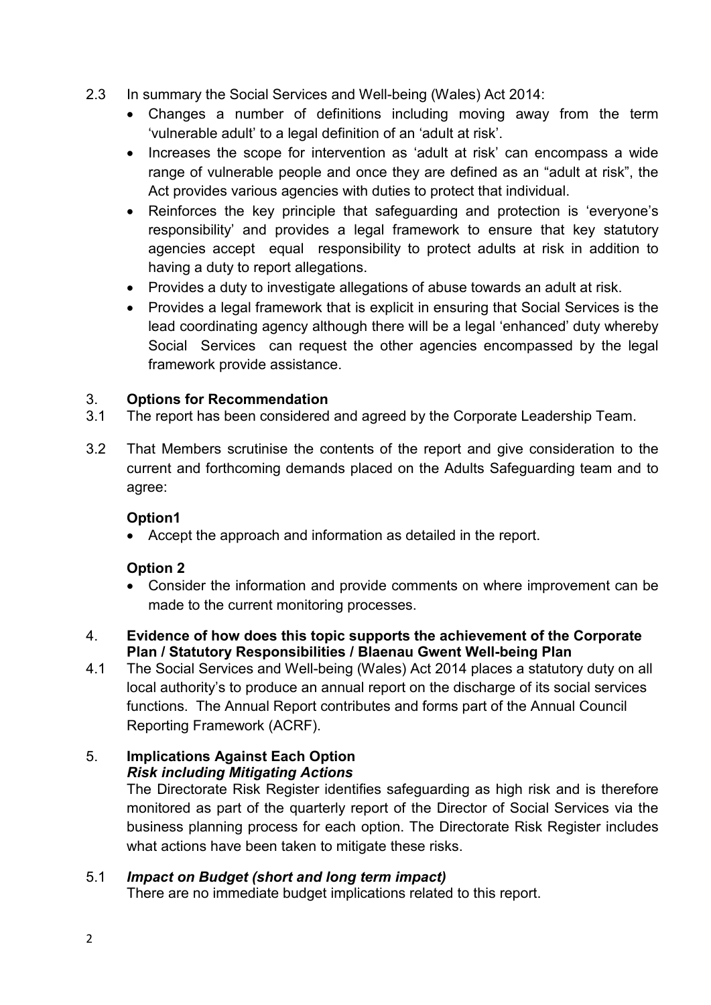- 2.3 In summary the Social Services and Well-being (Wales) Act 2014:
	- Changes a number of definitions including moving away from the term 'vulnerable adult' to a legal definition of an 'adult at risk'.
	- Increases the scope for intervention as 'adult at risk' can encompass a wide range of vulnerable people and once they are defined as an "adult at risk", the Act provides various agencies with duties to protect that individual.
	- Reinforces the key principle that safeguarding and protection is 'everyone's responsibility' and provides a legal framework to ensure that key statutory agencies accept equal responsibility to protect adults at risk in addition to having a duty to report allegations.
	- Provides a duty to investigate allegations of abuse towards an adult at risk.
	- Provides a legal framework that is explicit in ensuring that Social Services is the lead coordinating agency although there will be a legal 'enhanced' duty whereby Social Services can request the other agencies encompassed by the legal framework provide assistance.

## 3. **Options for Recommendation**

- 3.1 The report has been considered and agreed by the Corporate Leadership Team.
- 3.2 That Members scrutinise the contents of the report and give consideration to the current and forthcoming demands placed on the Adults Safeguarding team and to agree:

## **Option1**

• Accept the approach and information as detailed in the report.

## **Option 2**

- Consider the information and provide comments on where improvement can be made to the current monitoring processes.
- 4. **Evidence of how does this topic supports the achievement of the Corporate Plan / Statutory Responsibilities / Blaenau Gwent Well-being Plan**
- 4.1 The Social Services and Well-being (Wales) Act 2014 places a statutory duty on all local authority's to produce an annual report on the discharge of its social services functions. The Annual Report contributes and forms part of the Annual Council Reporting Framework (ACRF).

## 5. **Implications Against Each Option**

## *Risk including Mitigating Actions*

The Directorate Risk Register identifies safeguarding as high risk and is therefore monitored as part of the quarterly report of the Director of Social Services via the business planning process for each option. The Directorate Risk Register includes what actions have been taken to mitigate these risks.

## 5.1 *Impact on Budget (short and long term impact)*

There are no immediate budget implications related to this report.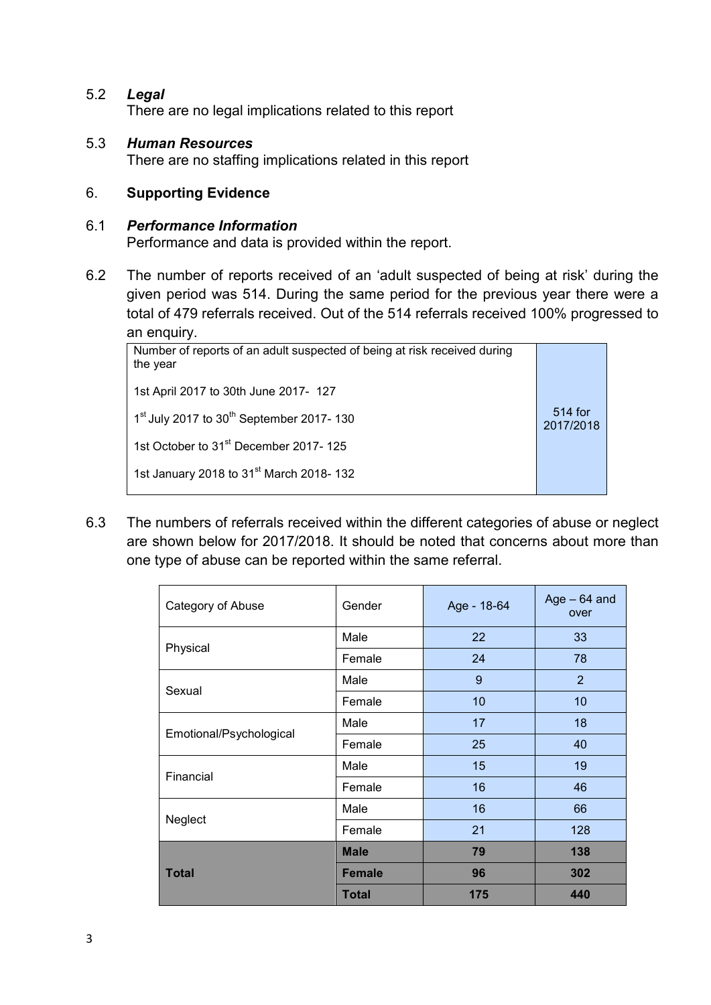5.2 *Legal* 

There are no legal implications related to this report

5.3 *Human Resources*  There are no staffing implications related in this report

## 6. **Supporting Evidence**

#### 6.1 *Performance Information*

Performance and data is provided within the report.

6.2 The number of reports received of an 'adult suspected of being at risk' during the given period was 514. During the same period for the previous year there were a total of 479 referrals received. Out of the 514 referrals received 100% progressed to an enquiry.

| Number of reports of an adult suspected of being at risk received during<br>the year |                      |
|--------------------------------------------------------------------------------------|----------------------|
| 1st April 2017 to 30th June 2017- 127                                                |                      |
| 1 <sup>st</sup> July 2017 to 30 <sup>th</sup> September 2017-130                     | 514 for<br>2017/2018 |
| 1st October to 31 <sup>st</sup> December 2017-125                                    |                      |
| 1st January 2018 to 31 <sup>st</sup> March 2018-132                                  |                      |

6.3 The numbers of referrals received within the different categories of abuse or neglect are shown below for 2017/2018. It should be noted that concerns about more than one type of abuse can be reported within the same referral.

| Category of Abuse       | Gender        | Age - 18-64 | Age $-64$ and<br>over |
|-------------------------|---------------|-------------|-----------------------|
|                         | Male          | 22          | 33                    |
| Physical                | Female        | 24          | 78                    |
|                         | Male          | 9           | 2                     |
| Sexual                  | Female        | 10          | 10                    |
|                         | Male          | 17          | 18                    |
| Emotional/Psychological | Female        | 25          | 40                    |
|                         | Male          | 15          | 19                    |
| Financial               | Female        | 16          | 46                    |
|                         | Male          | 16          | 66                    |
| Neglect                 | Female        | 21          | 128                   |
|                         | <b>Male</b>   | 79          | 138                   |
| <b>Total</b>            | <b>Female</b> | 96          | 302                   |
|                         | Total         | 175         | 440                   |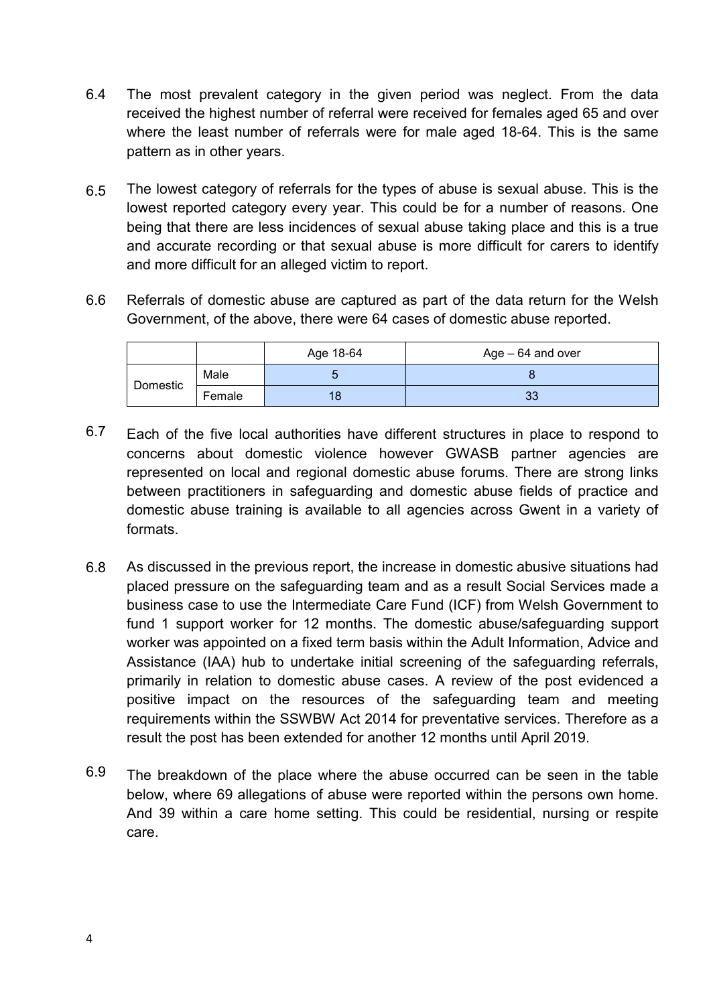- 6.4 The most prevalent category in the given period was neglect. From the data received the highest number of referral were received for females aged 65 and over where the least number of referrals were for male aged 18-64. This is the same pattern as in other years.
- 6.5 The lowest category of referrals for the types of abuse is sexual abuse. This is the lowest reported category every year. This could be for a number of reasons. One being that there are less incidences of sexual abuse taking place and this is a true and accurate recording or that sexual abuse is more difficult for carers to identify and more difficult for an alleged victim to report.
- 6.6 Referrals of domestic abuse are captured as part of the data return for the Welsh Government, of the above, there were 64 cases of domestic abuse reported.

|          |        | Age 18-64 | $Age - 64$ and over |
|----------|--------|-----------|---------------------|
|          | Male   |           |                     |
| Domestic | Female |           | 33                  |

- 6.7 Each of the five local authorities have different structures in place to respond to concerns about domestic violence however GWASB partner agencies are represented on local and regional domestic abuse forums. There are strong links between practitioners in safeguarding and domestic abuse fields of practice and domestic abuse training is available to all agencies across Gwent in a variety of formats.
- 6.8 As discussed in the previous report, the increase in domestic abusive situations had placed pressure on the safeguarding team and as a result Social Services made a business case to use the Intermediate Care Fund (ICF) from Welsh Government to fund 1 support worker for 12 months. The domestic abuse/safeguarding support worker was appointed on a fixed term basis within the Adult Information, Advice and Assistance (IAA) hub to undertake initial screening of the safeguarding referrals, primarily in relation to domestic abuse cases. A review of the post evidenced a positive impact on the resources of the safeguarding team and meeting requirements within the SSWBW Act 2014 for preventative services. Therefore as a result the post has been extended for another 12 months until April 2019.
- 6.9 The breakdown of the place where the abuse occurred can be seen in the table below, where 69 allegations of abuse were reported within the persons own home. And 39 within a care home setting. This could be residential, nursing or respite care.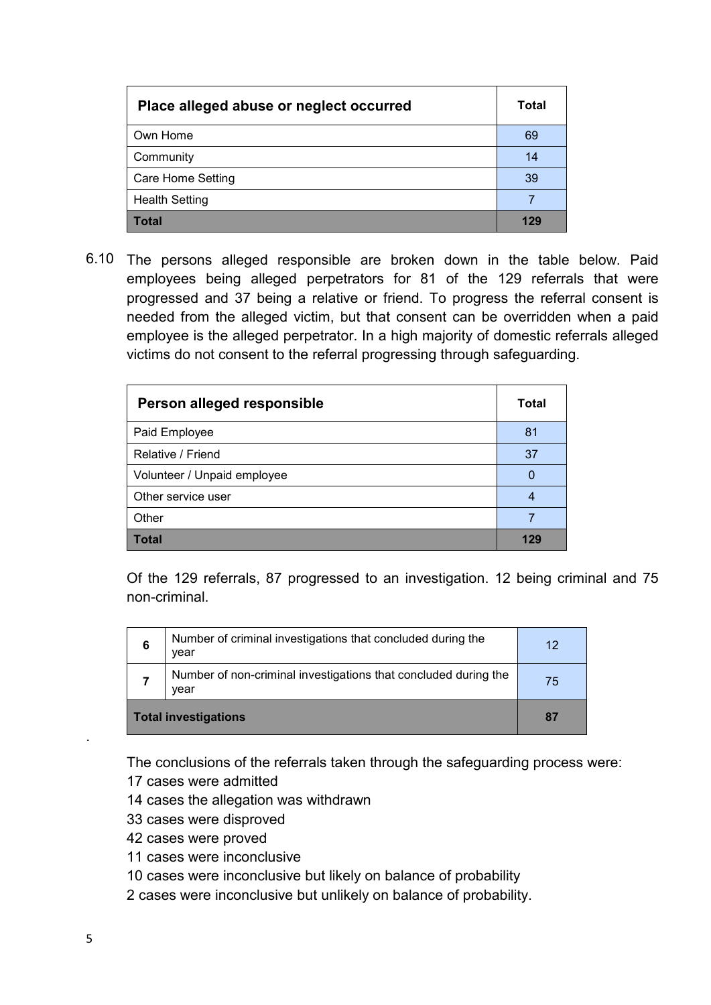| Place alleged abuse or neglect occurred | Total |
|-----------------------------------------|-------|
| Own Home                                | 69    |
| Community                               | 14    |
| <b>Care Home Setting</b>                | 39    |
| <b>Health Setting</b>                   |       |
| Total                                   | 129   |

6.10 The persons alleged responsible are broken down in the table below. Paid employees being alleged perpetrators for 81 of the 129 referrals that were progressed and 37 being a relative or friend. To progress the referral consent is needed from the alleged victim, but that consent can be overridden when a paid employee is the alleged perpetrator. In a high majority of domestic referrals alleged victims do not consent to the referral progressing through safeguarding.

| Person alleged responsible  | Total |
|-----------------------------|-------|
| Paid Employee               | 81    |
| Relative / Friend           | 37    |
| Volunteer / Unpaid employee |       |
| Other service user          | 4     |
| Other                       |       |
| Total                       | 129   |

Of the 129 referrals, 87 progressed to an investigation. 12 being criminal and 75 non-criminal.

| 6                           | Number of criminal investigations that concluded during the<br>vear     | 12 |
|-----------------------------|-------------------------------------------------------------------------|----|
|                             | Number of non-criminal investigations that concluded during the<br>vear | 75 |
| <b>Total investigations</b> |                                                                         | 87 |

The conclusions of the referrals taken through the safeguarding process were:

- 17 cases were admitted
- 14 cases the allegation was withdrawn
- 33 cases were disproved
- 42 cases were proved
- 11 cases were inconclusive
- 10 cases were inconclusive but likely on balance of probability
- 2 cases were inconclusive but unlikely on balance of probability.

.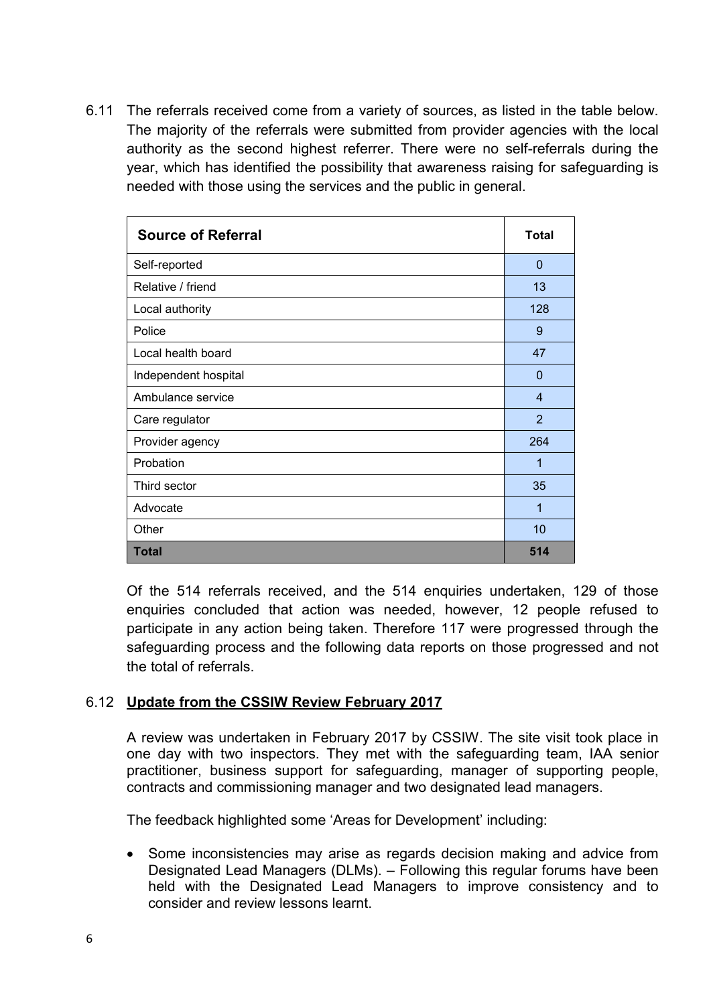6.11 The referrals received come from a variety of sources, as listed in the table below. The majority of the referrals were submitted from provider agencies with the local authority as the second highest referrer. There were no self-referrals during the year, which has identified the possibility that awareness raising for safeguarding is needed with those using the services and the public in general.

| <b>Source of Referral</b> | <b>Total</b>   |
|---------------------------|----------------|
| Self-reported             | $\Omega$       |
| Relative / friend         | 13             |
| Local authority           | 128            |
| Police                    | 9              |
| Local health board        | 47             |
| Independent hospital      | $\Omega$       |
| Ambulance service         | $\overline{4}$ |
| Care regulator            | $\overline{2}$ |
| Provider agency           | 264            |
| Probation                 | 1              |
| Third sector              | 35             |
| Advocate                  | 1              |
| Other                     | 10             |
| <b>Total</b>              | 514            |

Of the 514 referrals received, and the 514 enquiries undertaken, 129 of those enquiries concluded that action was needed, however, 12 people refused to participate in any action being taken. Therefore 117 were progressed through the safeguarding process and the following data reports on those progressed and not the total of referrals.

## 6.12 **Update from the CSSIW Review February 2017**

A review was undertaken in February 2017 by CSSIW. The site visit took place in one day with two inspectors. They met with the safeguarding team, IAA senior practitioner, business support for safeguarding, manager of supporting people, contracts and commissioning manager and two designated lead managers.

The feedback highlighted some 'Areas for Development' including:

• Some inconsistencies may arise as regards decision making and advice from Designated Lead Managers (DLMs). – Following this regular forums have been held with the Designated Lead Managers to improve consistency and to consider and review lessons learnt.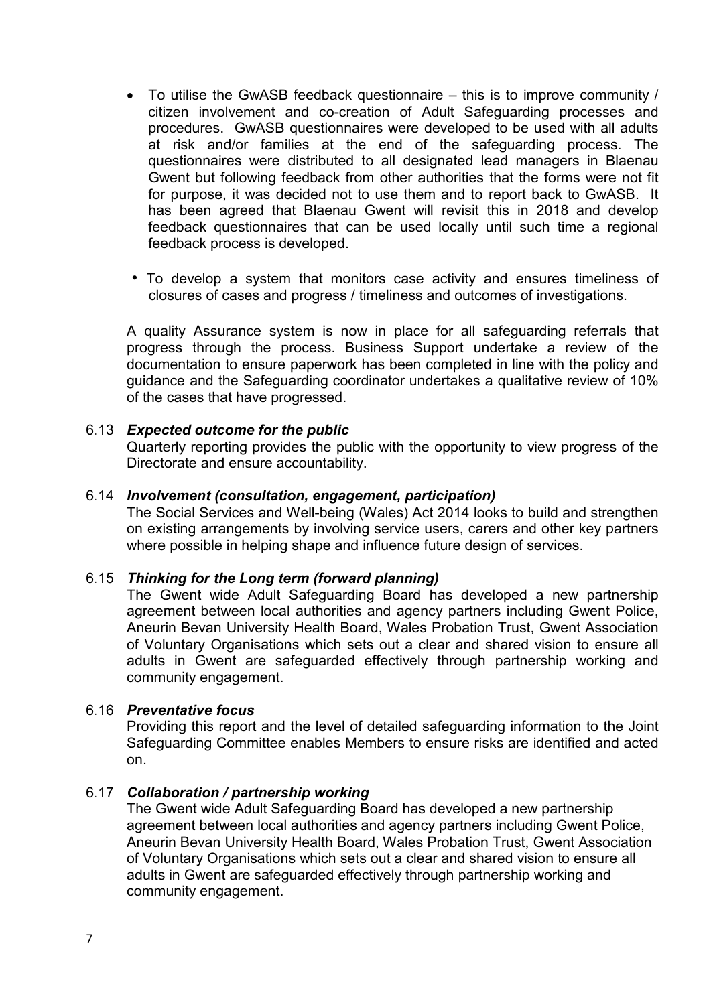- To utilise the GwASB feedback questionnaire this is to improve community / citizen involvement and co-creation of Adult Safeguarding processes and procedures. GwASB questionnaires were developed to be used with all adults at risk and/or families at the end of the safeguarding process. The questionnaires were distributed to all designated lead managers in Blaenau Gwent but following feedback from other authorities that the forms were not fit for purpose, it was decided not to use them and to report back to GwASB. It has been agreed that Blaenau Gwent will revisit this in 2018 and develop feedback questionnaires that can be used locally until such time a regional feedback process is developed.
- To develop a system that monitors case activity and ensures timeliness of closures of cases and progress / timeliness and outcomes of investigations.

A quality Assurance system is now in place for all safeguarding referrals that progress through the process. Business Support undertake a review of the documentation to ensure paperwork has been completed in line with the policy and guidance and the Safeguarding coordinator undertakes a qualitative review of 10% of the cases that have progressed.

#### 6.13 *Expected outcome for the public*

Quarterly reporting provides the public with the opportunity to view progress of the Directorate and ensure accountability.

## 6.14 *Involvement (consultation, engagement, participation)*

The Social Services and Well-being (Wales) Act 2014 looks to build and strengthen on existing arrangements by involving service users, carers and other key partners where possible in helping shape and influence future design of services.

#### 6.15 *Thinking for the Long term (forward planning)*

The Gwent wide Adult Safeguarding Board has developed a new partnership agreement between local authorities and agency partners including Gwent Police, Aneurin Bevan University Health Board, Wales Probation Trust, Gwent Association of Voluntary Organisations which sets out a clear and shared vision to ensure all adults in Gwent are safeguarded effectively through partnership working and community engagement.

#### 6.16 *Preventative focus*

Providing this report and the level of detailed safeguarding information to the Joint Safeguarding Committee enables Members to ensure risks are identified and acted on.

#### 6.17 *Collaboration / partnership working*

The Gwent wide Adult Safeguarding Board has developed a new partnership agreement between local authorities and agency partners including Gwent Police, Aneurin Bevan University Health Board, Wales Probation Trust, Gwent Association of Voluntary Organisations which sets out a clear and shared vision to ensure all adults in Gwent are safeguarded effectively through partnership working and community engagement.